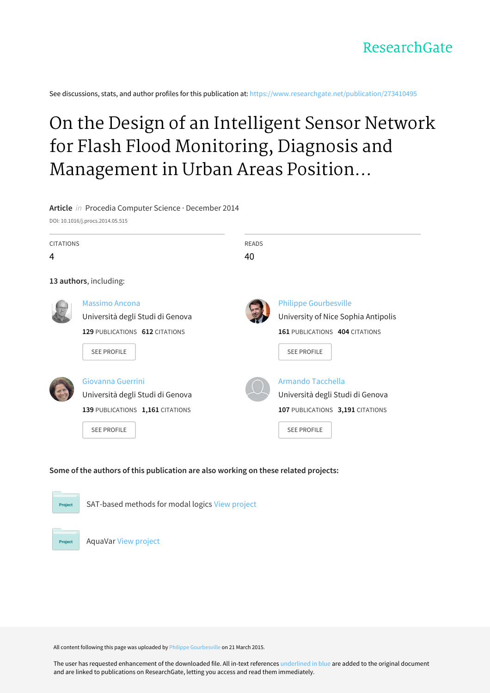See discussions, stats, and author profiles for this publication at: [https://www.researchgate.net/publication/273410495](https://www.researchgate.net/publication/273410495_On_the_Design_of_an_Intelligent_Sensor_Network_for_Flash_Flood_Monitoring_Diagnosis_and_Management_in_Urban_Areas_Position_Paper?enrichId=rgreq-54afeefed9ea2300299085c193bddd6c-XXX&enrichSource=Y292ZXJQYWdlOzI3MzQxMDQ5NTtBUzoyMDk0NzMwMTM1ODc5NjhAMTQyNjk1MzY2NjIxMw%3D%3D&el=1_x_2&_esc=publicationCoverPdf)

# On the Design of an Intelligent Sensor Network for Flash Flood Monitoring, Diagnosis and Management in Urban Areas Position...

**Article** in Procedia Computer Science · December 2014

DOI: 10.1016/j.procs.2014.05.515

| <b>CITATIONS</b><br>4  |                                                                                                                 | <b>READS</b><br>40 |                                                                                                                             |
|------------------------|-----------------------------------------------------------------------------------------------------------------|--------------------|-----------------------------------------------------------------------------------------------------------------------------|
| 13 authors, including: |                                                                                                                 |                    |                                                                                                                             |
|                        | Massimo Ancona<br>Università degli Studi di Genova<br>129 PUBLICATIONS 612 CITATIONS<br><b>SEE PROFILE</b>      |                    | <b>Philippe Gourbesville</b><br>University of Nice Sophia Antipolis<br>161 PUBLICATIONS 404 CITATIONS<br><b>SEE PROFILE</b> |
|                        | Giovanna Guerrini<br>Università degli Studi di Genova<br>139 PUBLICATIONS 1,161 CITATIONS<br><b>SEE PROFILE</b> |                    | <b>Armando Tacchella</b><br>Università degli Studi di Genova<br>107 PUBLICATIONS 3,191 CITATIONS<br><b>SEE PROFILE</b>      |

# **Some of the authors of this publication are also working on these related projects:**



SAT-based methods for modal logics View [project](https://www.researchgate.net/project/SAT-based-methods-for-modal-logics?enrichId=rgreq-54afeefed9ea2300299085c193bddd6c-XXX&enrichSource=Y292ZXJQYWdlOzI3MzQxMDQ5NTtBUzoyMDk0NzMwMTM1ODc5NjhAMTQyNjk1MzY2NjIxMw%3D%3D&el=1_x_9&_esc=publicationCoverPdf)



AquaVar View [project](https://www.researchgate.net/project/AquaVar?enrichId=rgreq-54afeefed9ea2300299085c193bddd6c-XXX&enrichSource=Y292ZXJQYWdlOzI3MzQxMDQ5NTtBUzoyMDk0NzMwMTM1ODc5NjhAMTQyNjk1MzY2NjIxMw%3D%3D&el=1_x_9&_esc=publicationCoverPdf)

All content following this page was uploaded by Philippe [Gourbesville](https://www.researchgate.net/profile/Philippe_Gourbesville?enrichId=rgreq-54afeefed9ea2300299085c193bddd6c-XXX&enrichSource=Y292ZXJQYWdlOzI3MzQxMDQ5NTtBUzoyMDk0NzMwMTM1ODc5NjhAMTQyNjk1MzY2NjIxMw%3D%3D&el=1_x_10&_esc=publicationCoverPdf) on 21 March 2015.

The user has requested enhancement of the downloaded file. All in-text references underlined in blue are added to the original document and are linked to publications on ResearchGate, letting you access and read them immediately.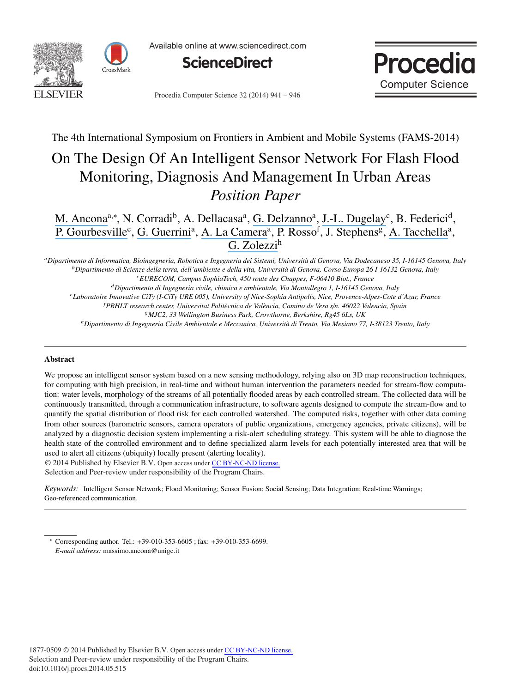



Available online at www.sciencedirect.com



Procedia Computer Science 32 (2014) 941 – 946



The 4th International Symposium on Frontiers in Ambient and Mobile Systems (FAMS-2014)

# On The Design Of An Intelligent Sensor Network For Flash Flood Monitoring, Diagnosis And Management In Urban Areas *Position Paper*

[M. Ancona](https://www.researchgate.net/profile/Massimo_Ancona?el=1_x_100&enrichId=rgreq-54afeefed9ea2300299085c193bddd6c-XXX&enrichSource=Y292ZXJQYWdlOzI3MzQxMDQ5NTtBUzoyMDk0NzMwMTM1ODc5NjhAMTQyNjk1MzY2NjIxMw==)<sup>a,∗</sup>, N. Corradi<sup>b</sup>, A. Dellacasa<sup>a</sup>, [G. Delzanno](https://www.researchgate.net/profile/Giorgio_Delzanno?el=1_x_100&enrichId=rgreq-54afeefed9ea2300299085c193bddd6c-XXX&enrichSource=Y292ZXJQYWdlOzI3MzQxMDQ5NTtBUzoyMDk0NzMwMTM1ODc5NjhAMTQyNjk1MzY2NjIxMw==)<sup>a</sup>, [J.-L. Dugelay](https://www.researchgate.net/profile/Jean-Luc_Dugelay?el=1_x_100&enrichId=rgreq-54afeefed9ea2300299085c193bddd6c-XXX&enrichSource=Y292ZXJQYWdlOzI3MzQxMDQ5NTtBUzoyMDk0NzMwMTM1ODc5NjhAMTQyNjk1MzY2NjIxMw==)<sup>c</sup>, B. Federici<sup>d</sup>, P. [Gourbesville](https://www.researchgate.net/profile/Philippe_Gourbesville?el=1_x_100&enrichId=rgreq-54afeefed9ea2300299085c193bddd6c-XXX&enrichSource=Y292ZXJQYWdlOzI3MzQxMDQ5NTtBUzoyMDk0NzMwMTM1ODc5NjhAMTQyNjk1MzY2NjIxMw==)<sup>e</sup>, G. Guerrini<sup>a</sup>, [A. La Camera](https://www.researchgate.net/profile/Andrea_La_Camera?el=1_x_100&enrichId=rgreq-54afeefed9ea2300299085c193bddd6c-XXX&enrichSource=Y292ZXJQYWdlOzI3MzQxMDQ5NTtBUzoyMDk0NzMwMTM1ODc5NjhAMTQyNjk1MzY2NjIxMw==)<sup>a</sup>, P. Rosso<sup>f</sup>, J. Stephens<sup>g</sup>, A. [Tacchella](https://www.researchgate.net/profile/Armando_Tacchella?el=1_x_100&enrichId=rgreq-54afeefed9ea2300299085c193bddd6c-XXX&enrichSource=Y292ZXJQYWdlOzI3MzQxMDQ5NTtBUzoyMDk0NzMwMTM1ODc5NjhAMTQyNjk1MzY2NjIxMw==)<sup>a</sup>, [G. Zolezzi](https://www.researchgate.net/profile/Guido_Zolezzi?el=1_x_100&enrichId=rgreq-54afeefed9ea2300299085c193bddd6c-XXX&enrichSource=Y292ZXJQYWdlOzI3MzQxMDQ5NTtBUzoyMDk0NzMwMTM1ODc5NjhAMTQyNjk1MzY2NjIxMw==)<sup>h</sup>

*aDipartimento di Informatica, Bioingegneria, Robotica e Ingegneria dei Sistemi, Universit`a di Genova, Via Dodecaneso 35, I-16145 Genova, Italy* <sup>*b*</sup>Dipartimento di Scienze della terra, dell'ambiente e della vita, Università di Genova, Corso Europa 26 I-16132 Genova, Italy *cEURECOM, Campus SophiaTech, 450 route des Chappes, F-06410 Biot., France dDipartimento di Ingegneria civile, chimica e ambientale, Via Montallegro 1, I-16145 Genova, Italy eLaboratoire Innovative CiTy (I-CiTy URE 005), University of Nice-Sophia Antipolis, Nice, Provence-Alpes-Cote d'Azur, France f PRHLT research center, Universitat Polit`ecnica de Val`encia, Camino de Vera s*/*n. 46022 Valencia, Spain gMJC2, 33 Wellington Business Park, Crowthorne, Berkshire, Rg45 6Ls, UK hDipartimento di Ingegneria Civile Ambientale e Meccanica, Universit`a di Trento, Via Mesiano 77, I-38123 Trento, Italy*

# Abstract

We propose an intelligent sensor system based on a new sensing methodology, relying also on 3D map reconstruction techniques, for computing with high precision, in real-time and without human intervention the parameters needed for stream-flow computation: water levels, morphology of the streams of all potentially flooded areas by each controlled stream. The collected data will be continuously transmitted, through a communication infrastructure, to software agents designed to compute the stream-flow and to quantify the spatial distribution of flood risk for each controlled watershed. The computed risks, together with other data coming from other sources (barometric sensors, camera operators of public organizations, emergency agencies, private citizens), will be analyzed by a diagnostic decision system implementing a risk-alert scheduling strategy. This system will be able to diagnose the health state of the controlled environment and to define specialized alarm levels for each potentially interested area that will be used to alert all citizens (ubiquity) locally present (alerting locality).

© 2014 Published by Elsevier B.V. Open access under [CC BY-NC-ND license.](http://creativecommons.org/licenses/by-nc-nd/3.0/) Selection and Peer-review under responsibility of the Program Chairs.

*Keywords:* Intelligent Sensor Network; Flood Monitoring; Sensor Fusion; Social Sensing; Data Integration; Real-time Warnings; Geo-referenced communication.

∗ Corresponding author. Tel.: +39-010-353-6605 ; fax: +39-010-353-6699. *E-mail address:* massimo.ancona@unige.it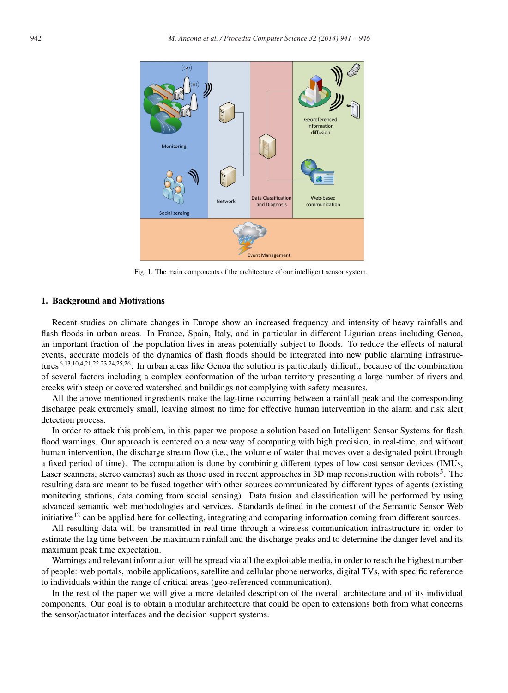

Fig. 1. The main components of the architecture of our intelligent sensor system.

#### 1. Background and Motivations

Recent studies on climate changes in Europe show an increased frequency and intensity of heavy rainfalls and flash floods in urban areas. In France, Spain, Italy, and in particular in different Ligurian areas including Genoa, an important fraction of the population lives in areas potentially subject to floods. To reduce the effects of natural events, accurate models of the dynamics of flash floods should be integrated into new public alarming infrastructures 6,13,10,4,21,22,23,24,25,26. In urban areas like Genoa the solution is particularly difficult, because of the combination of several factors including a complex conformation of the urban territory presenting a large number of rivers and creeks with steep or covered watershed and buildings not complying with safety measures.

All the above mentioned ingredients make the lag-time occurring between a rainfall peak and the corresponding discharge peak extremely small, leaving almost no time for effective human intervention in the alarm and risk alert detection process.

In order to attack this problem, in this paper we propose a solution based on Intelligent Sensor Systems for flash flood warnings. Our approach is centered on a new way of computing with high precision, in real-time, and without human intervention, the discharge stream flow (i.e., the volume of water that moves over a designated point through a fixed period of time). The computation is done by combining different types of low cost sensor devices (IMUs, Laser scanners, stereo cameras) such as those used in recent approaches in 3D map reconstruction with robots<sup>5</sup>. The resulting data are meant to be fused together with other sources communicated by different types of agents (existing monitoring stations, data coming from social sensing). Data fusion and classification will be performed by using advanced semantic web methodologies and services. Standards defined in the context of the Semantic Sensor Web initiative <sup>12</sup> can be applied here for collecting, integrating and comparing information coming from different sources.

All resulting data will be transmitted in real-time through a wireless communication infrastructure in order to estimate the lag time between the maximum rainfall and the discharge peaks and to determine the danger level and its maximum peak time expectation.

Warnings and relevant information will be spread via all the exploitable media, in order to reach the highest number of people: web portals, mobile applications, satellite and cellular phone networks, digital TVs, with specific reference to individuals within the range of critical areas (geo-referenced communication).

In the rest of the paper we will give a more detailed description of the overall architecture and of its individual components. Our goal is to obtain a modular architecture that could be open to extensions both from what concerns the sensor/actuator interfaces and the decision support systems.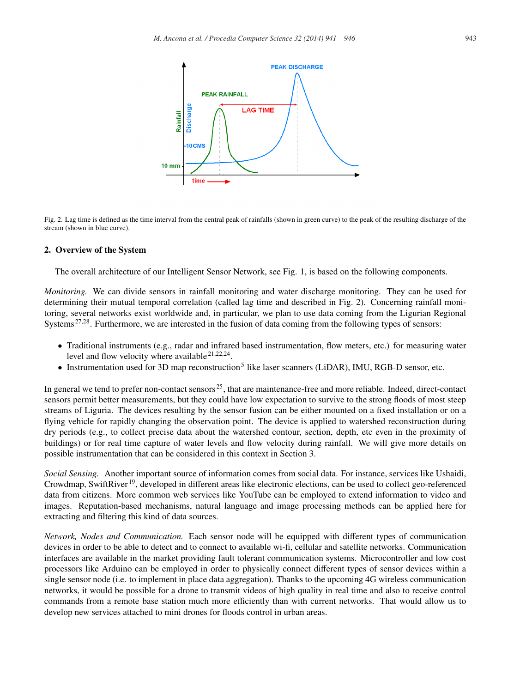

Fig. 2. Lag time is defined as the time interval from the central peak of rainfalls (shown in green curve) to the peak of the resulting discharge of the stream (shown in blue curve).

## 2. Overview of the System

The overall architecture of our Intelligent Sensor Network, see Fig. 1, is based on the following components.

*Monitoring.* We can divide sensors in rainfall monitoring and water discharge monitoring. They can be used for determining their mutual temporal correlation (called lag time and described in Fig. 2). Concerning rainfall monitoring, several networks exist worldwide and, in particular, we plan to use data coming from the Ligurian Regional Systems<sup>27,28</sup>. Furthermore, we are interested in the fusion of data coming from the following types of sensors:

- Traditional instruments (e.g., radar and infrared based instrumentation, flow meters, etc.) for measuring water level and flow velocity where available 21,22,24.
- Instrumentation used for 3D map reconstruction<sup>5</sup> like laser scanners (LiDAR), IMU, RGB-D sensor, etc.

In general we tend to prefer non-contact sensors  $2^5$ , that are maintenance-free and more reliable. Indeed, direct-contact sensors permit better measurements, but they could have low expectation to survive to the strong floods of most steep streams of Liguria. The devices resulting by the sensor fusion can be either mounted on a fixed installation or on a flying vehicle for rapidly changing the observation point. The device is applied to watershed reconstruction during dry periods (e.g., to collect precise data about the watershed contour, section, depth, etc even in the proximity of buildings) or for real time capture of water levels and flow velocity during rainfall. We will give more details on possible instrumentation that can be considered in this context in Section 3.

*Social Sensing.* Another important source of information comes from social data. For instance, services like Ushaidi, Crowdmap, SwiftRiver 19, developed in different areas like electronic elections, can be used to collect geo-referenced data from citizens. More common web services like YouTube can be employed to extend information to video and images. Reputation-based mechanisms, natural language and image processing methods can be applied here for extracting and filtering this kind of data sources.

*Network, Nodes and Communication.* Each sensor node will be equipped with different types of communication devices in order to be able to detect and to connect to available wi-fi, cellular and satellite networks. Communication interfaces are available in the market providing fault tolerant communication systems. Microcontroller and low cost processors like Arduino can be employed in order to physically connect different types of sensor devices within a single sensor node (i.e. to implement in place data aggregation). Thanks to the upcoming 4G wireless communication networks, it would be possible for a drone to transmit videos of high quality in real time and also to receive control commands from a remote base station much more efficiently than with current networks. That would allow us to develop new services attached to mini drones for floods control in urban areas.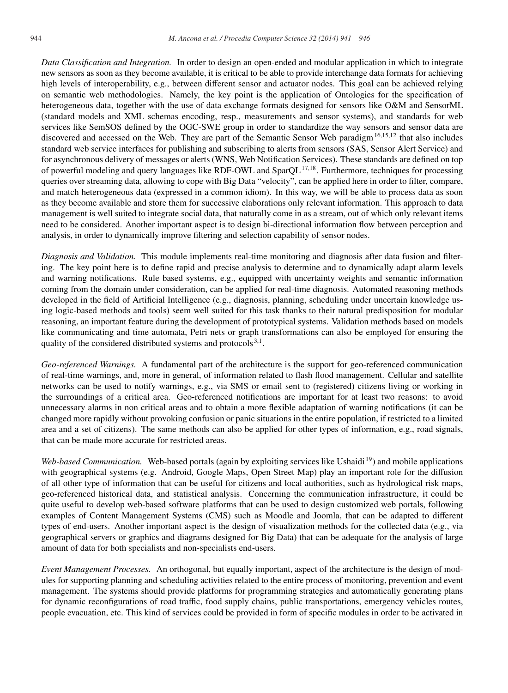*Data Classification and Integration.* In order to design an open-ended and modular application in which to integrate new sensors as soon as they become available, it is critical to be able to provide interchange data formats for achieving high levels of interoperability, e.g., between different sensor and actuator nodes. This goal can be achieved relying on semantic web methodologies. Namely, the key point is the application of Ontologies for the specification of heterogeneous data, together with the use of data exchange formats designed for sensors like O&M and SensorML (standard models and XML schemas encoding, resp., measurements and sensor systems), and standards for web services like SemSOS defined by the OGC-SWE group in order to standardize the way sensors and sensor data are discovered and accessed on the Web. They are part of the Semantic Sensor Web paradigm<sup>16,15,12</sup> that also includes standard web service interfaces for publishing and subscribing to alerts from sensors (SAS, Sensor Alert Service) and for asynchronous delivery of messages or alerts (WNS, Web Notification Services). These standards are defined on top of powerful modeling and query languages like RDF-OWL and  $SparQL$ <sup>17,18</sup>. Furthermore, techniques for processing queries over streaming data, allowing to cope with Big Data "velocity", can be applied here in order to filter, compare, and match heterogeneous data (expressed in a common idiom). In this way, we will be able to process data as soon as they become available and store them for successive elaborations only relevant information. This approach to data management is well suited to integrate social data, that naturally come in as a stream, out of which only relevant items need to be considered. Another important aspect is to design bi-directional information flow between perception and analysis, in order to dynamically improve filtering and selection capability of sensor nodes.

*Diagnosis and Validation.* This module implements real-time monitoring and diagnosis after data fusion and filtering. The key point here is to define rapid and precise analysis to determine and to dynamically adapt alarm levels and warning notifications. Rule based systems, e.g., equipped with uncertainty weights and semantic information coming from the domain under consideration, can be applied for real-time diagnosis. Automated reasoning methods developed in the field of Artificial Intelligence (e.g., diagnosis, planning, scheduling under uncertain knowledge using logic-based methods and tools) seem well suited for this task thanks to their natural predisposition for modular reasoning, an important feature during the development of prototypical systems. Validation methods based on models like communicating and time automata, Petri nets or graph transformations can also be employed for ensuring the quality of the considered distributed systems and protocols<sup>3,1</sup>.

*Geo-referenced Warnings.* A fundamental part of the architecture is the support for geo-referenced communication of real-time warnings, and, more in general, of information related to flash flood management. Cellular and satellite networks can be used to notify warnings, e.g., via SMS or email sent to (registered) citizens living or working in the surroundings of a critical area. Geo-referenced notifications are important for at least two reasons: to avoid unnecessary alarms in non critical areas and to obtain a more flexible adaptation of warning notifications (it can be changed more rapidly without provoking confusion or panic situations in the entire population, if restricted to a limited area and a set of citizens). The same methods can also be applied for other types of information, e.g., road signals, that can be made more accurate for restricted areas.

*Web-based Communication.* Web-based portals (again by exploiting services like Ushaidi 19) and mobile applications with geographical systems (e.g. Android, Google Maps, Open Street Map) play an important role for the diffusion of all other type of information that can be useful for citizens and local authorities, such as hydrological risk maps, geo-referenced historical data, and statistical analysis. Concerning the communication infrastructure, it could be quite useful to develop web-based software platforms that can be used to design customized web portals, following examples of Content Management Systems (CMS) such as Moodle and Joomla, that can be adapted to different types of end-users. Another important aspect is the design of visualization methods for the collected data (e.g., via geographical servers or graphics and diagrams designed for Big Data) that can be adequate for the analysis of large amount of data for both specialists and non-specialists end-users.

*Event Management Processes.* An orthogonal, but equally important, aspect of the architecture is the design of modules for supporting planning and scheduling activities related to the entire process of monitoring, prevention and event management. The systems should provide platforms for programming strategies and automatically generating plans for dynamic reconfigurations of road traffic, food supply chains, public transportations, emergency vehicles routes, people evacuation, etc. This kind of services could be provided in form of specific modules in order to be activated in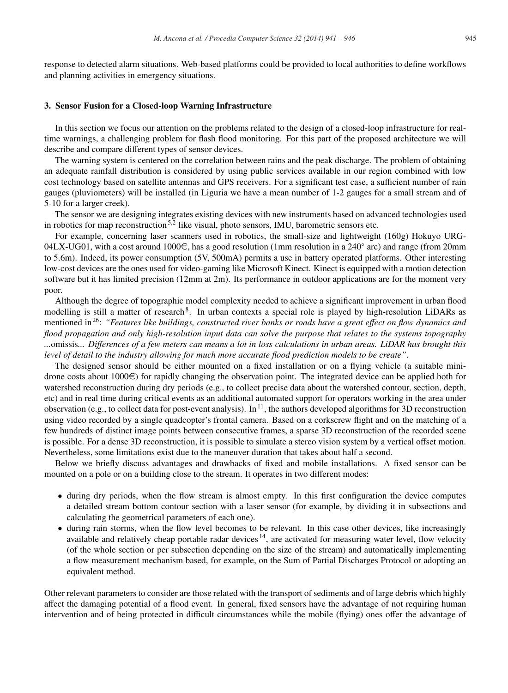response to detected alarm situations. Web-based platforms could be provided to local authorities to define workflows and planning activities in emergency situations.

# 3. Sensor Fusion for a Closed-loop Warning Infrastructure

In this section we focus our attention on the problems related to the design of a closed-loop infrastructure for realtime warnings, a challenging problem for flash flood monitoring. For this part of the proposed architecture we will describe and compare different types of sensor devices.

The warning system is centered on the correlation between rains and the peak discharge. The problem of obtaining an adequate rainfall distribution is considered by using public services available in our region combined with low cost technology based on satellite antennas and GPS receivers. For a significant test case, a sufficient number of rain gauges (pluviometers) will be installed (in Liguria we have a mean number of 1-2 gauges for a small stream and of 5-10 for a larger creek).

The sensor we are designing integrates existing devices with new instruments based on advanced technologies used in robotics for map reconstruction<sup>5,2</sup> like visual, photo sensors, IMU, barometric sensors etc.

For example, concerning laser scanners used in robotics, the small-size and lightweight (160g) Hokuyo URG-04LX-UG01, with a cost around 1000€, has a good resolution (1mm resolution in a 240 $\degree$  arc) and range (from 20mm to 5.6m). Indeed, its power consumption (5V, 500mA) permits a use in battery operated platforms. Other interesting low-cost devices are the ones used for video-gaming like Microsoft Kinect. Kinect is equipped with a motion detection software but it has limited precision (12mm at 2m). Its performance in outdoor applications are for the moment very poor.

Although the degree of topographic model complexity needed to achieve a significant improvement in urban flood modelling is still a matter of research<sup>8</sup>. In urban contexts a special role is played by high-resolution LiDARs as mentioned in26: *"Features like buildings, constructed river banks or roads have a great e*ff*ect on flow dynamics and flood propagation and only high-resolution input data can solve the purpose that relates to the systems topography ...*omissis*... Di*ff*erences of a few meters can means a lot in loss calculations in urban areas. LiDAR has brought this level of detail to the industry allowing for much more accurate flood prediction models to be create"*.

The designed sensor should be either mounted on a fixed installation or on a flying vehicle (a suitable minidrone costs about  $1000\epsilon$ ) for rapidly changing the observation point. The integrated device can be applied both for watershed reconstruction during dry periods (e.g., to collect precise data about the watershed contour, section, depth, etc) and in real time during critical events as an additional automated support for operators working in the area under observation (e.g., to collect data for post-event analysis). In<sup>11</sup>, the authors developed algorithms for 3D reconstruction using video recorded by a single quadcopter's frontal camera. Based on a corkscrew flight and on the matching of a few hundreds of distinct image points between consecutive frames, a sparse 3D reconstruction of the recorded scene is possible. For a dense 3D reconstruction, it is possible to simulate a stereo vision system by a vertical offset motion. Nevertheless, some limitations exist due to the maneuver duration that takes about half a second.

Below we briefly discuss advantages and drawbacks of fixed and mobile installations. A fixed sensor can be mounted on a pole or on a building close to the stream. It operates in two different modes:

- during dry periods, when the flow stream is almost empty. In this first configuration the device computes a detailed stream bottom contour section with a laser sensor (for example, by dividing it in subsections and calculating the geometrical parameters of each one).
- during rain storms, when the flow level becomes to be relevant. In this case other devices, like increasingly available and relatively cheap portable radar devices  $14$ , are activated for measuring water level, flow velocity (of the whole section or per subsection depending on the size of the stream) and automatically implementing a flow measurement mechanism based, for example, on the Sum of Partial Discharges Protocol or adopting an equivalent method.

Other relevant parameters to consider are those related with the transport of sediments and of large debris which highly affect the damaging potential of a flood event. In general, fixed sensors have the advantage of not requiring human intervention and of being protected in difficult circumstances while the mobile (flying) ones offer the advantage of